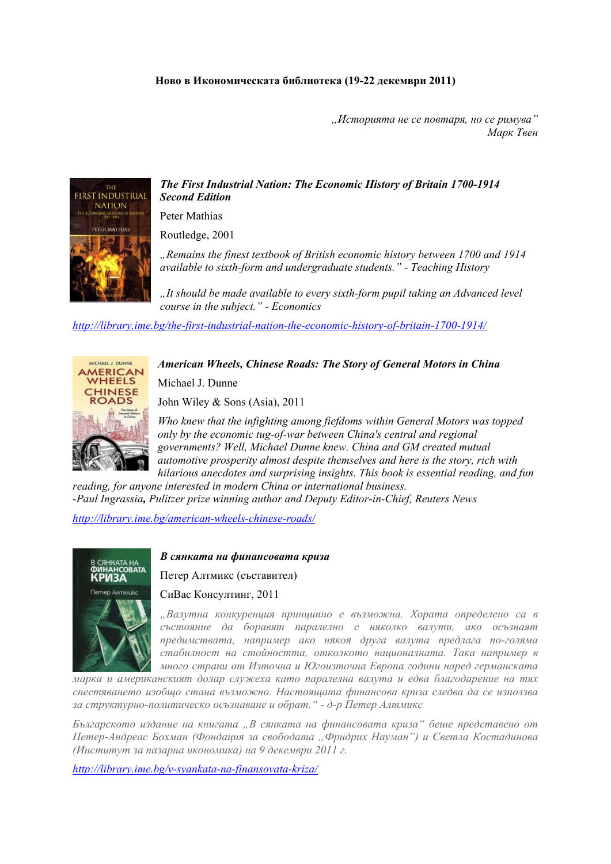*"Историята не се повтаря, но се римува" Марк Твен*

## *The First Industrial Nation: The Economic History of Britain 1700-1914 Second Edition*

Peter Mathias

Routledge, 2001

*"Remains the finest textbook of British economic history between 1700 and 1914 available to sixth-form and undergraduate students." - Teaching History* 

*"It should be made available to every sixth-form pupil taking an Advanced level course in the subject." - Economics* 

*<http://library.ime.bg/the-first-industrial-nation-the-economic-history-of-britain-1700-1914/>*

## *American Wheels, Chinese Roads: The Story of General Motors in China*

Michael J. Dunne

John Wiley & Sons (Asia), 2011

*Who knew that the infighting among fiefdoms within General Motors was topped only by the economic tug-of-war between China's central and regional governments? Well, Michael Dunne knew. China and GM created mutual automotive prosperity almost despite themselves and here is the story, rich with hilarious anecdotes and surprising insights. This book is essential reading, and fun* 

*reading, for anyone interested in modern China or international business. -Paul Ingrassia, Pulitzer prize winning author and Deputy Editor-in-Chief, Reuters News* 

*<http://library.ime.bg/american-wheels-chinese-roads/>*



*В сянката на финансовата криза*

Петер Алтмикс (съставител)

СиВас Консултинг, 2011

*"Валутна конкуренция принципно е възможна. Хората определено са в състояние да боравят паралелно с няколко валути, ако осъзнаят предимствата, например ако някоя друга валута предлага по-голяма стабилност на стойността, отколкото националната. Така например в много страни от Източна и Югоизточна Европа години наред германската*

*марка и американският долар служеха като паралелна валута и едва благодарение на тях спестяването изобщо стана възможно. Настоящата финансова криза следва да се използва за структурно-политическо осъзнаване и обрат." - д-р Петер Алтмикс*

*Българското издание на книгата "В сянката на финансовата криза" беше представено от Петер-Андреас Бохман (Фондация за свободата "Фридрих Науман") и Светла Костадинова (Институт за пазарна икономика) на 9 декември 2011 г.* 

*<http://library.ime.bg/v-syankata-na-finansovata-kriza/>*



MICHAEL J. DUNNE **AFRICAN VHEELS**